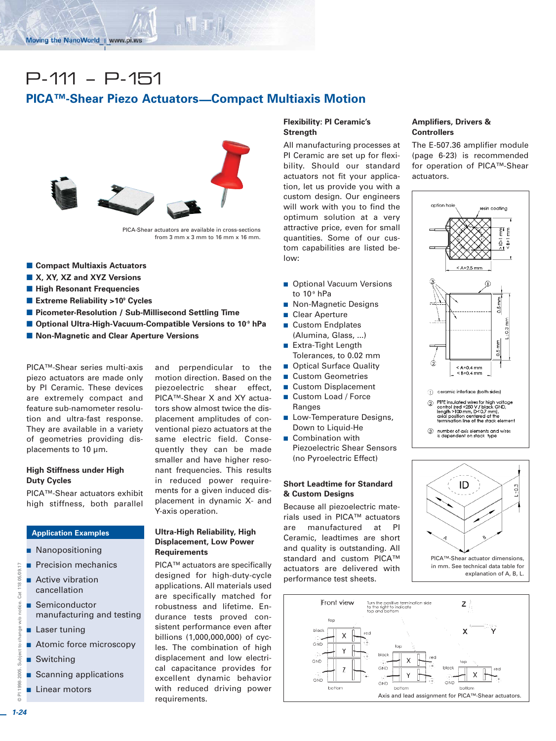# P-111 – P-151

# **PICA™-Shear Piezo Actuators—Compact Multiaxis Motion**



PICA-Shear actuators are available in cross-sections from  $3$  mm  $x$   $3$  mm to  $16$  mm  $x$   $16$  mm.

- **E Compact Multiaxis Actuators**
- X, XY, XZ and XYZ Versions
- **High Resonant Frequencies**
- Extreme Reliability >10<sup>9</sup> Cycles
- $\blacksquare$  **Picometer-Resolution / Sub-Millisecond Settling Time**
- Optional Ultra-High-Vacuum-Compatible Versions to 10<sup>9</sup> hPa
- Non-Magnetic and Clear Aperture Versions

PICA™-Shear series multi-axis piezo actuators are made only by PI Ceramic. These devices are extremely compact and feature sub-namometer resolution and ultra-fast response. They are available in a variety of geometries providing displacements to 10 µm.

### **High Stiffness under High Duty Cycles**

PICA™-Shear actuators exhibit high stiffness, both parallel

# **Application Examples**

- **Nanopositioning**
- **Precision mechanics**
- **Active vibration** cancellation
- Semiconductor manufacturing and testing
- **Laser tuning**
- **Atomic force microscopy**
- **B** Switching
- **Scanning applications**
- **Linear motors**

and perpendicular to the motion direction. Based on the piezoelectric shear effect, PICA™-Shear X and XY actuators show almost twice the displacement amplitudes of conventional piezo actuators at the same electric field. Consequently they can be made smaller and have higher resonant frequencies. This results in reduced power requirements for a given induced displacement in dynamic X- and Y-axis operation.

## **Ultra-High Reliability, High Displacement, Low Power Requirements**

PICA™ actuators are specifically designed for high-duty-cycle applications. All materials used are specifically matched for robustness and lifetime. Endurance tests proved consistent performance even after billions (1,000,000,000) of cycles. The combination of high displacement and low electrical capacitance provides for excellent dynamic behavior with reduced driving power requirements.

# **Flexibility: PI Ceramic's Strength**

All manufacturing processes at PI Ceramic are set up for flexibility. Should our standard actuators not fit your application, let us provide you with a custom design. Our engineers will work with you to find the optimum solution at a very attractive price, even for small quantities. Some of our custom capabilities are listed below:

- **Deparata Vacuum Versions** to  $10<sup>9</sup>$  hPa
- Non-Magnetic Designs
- Clear Aperture
- Custom Endplates (Alumina, Glass, ...)
- **Extra-Tight Length** Tolerances, to 0.02 mm
- **Deparation Contact Contact Propelling**
- **Custom Geometries**
- Custom Displacement **Custom Load / Force**
- Ranges
- **Low-Temperature Designs,** Down to Liquid-He
- **Combination with** Piezoelectric Shear Sensors (no Pyroelectric Effect)

### **Short Leadtime for Standard & Custom Designs**

Because all piezoelectric materials used in PICA™ actuators are manufactured at PI Ceramic, leadtimes are short and quality is outstanding. All standard and custom PICA™ actuators are delivered with performance test sheets.

#### **Amplifiers, Drivers & Controllers**

The E-507.36 amplifier module (page 6-23) is recommended for operation of PICA™-Shear actuators.







© PI 1998-2005. Subject to change w/o notice. Cat 118 05/09.17

to cha

Subject:

2005

aag.

nae

 $\frac{1}{2}$ 

 $\overline{a}$ 

Cat 118 05/09